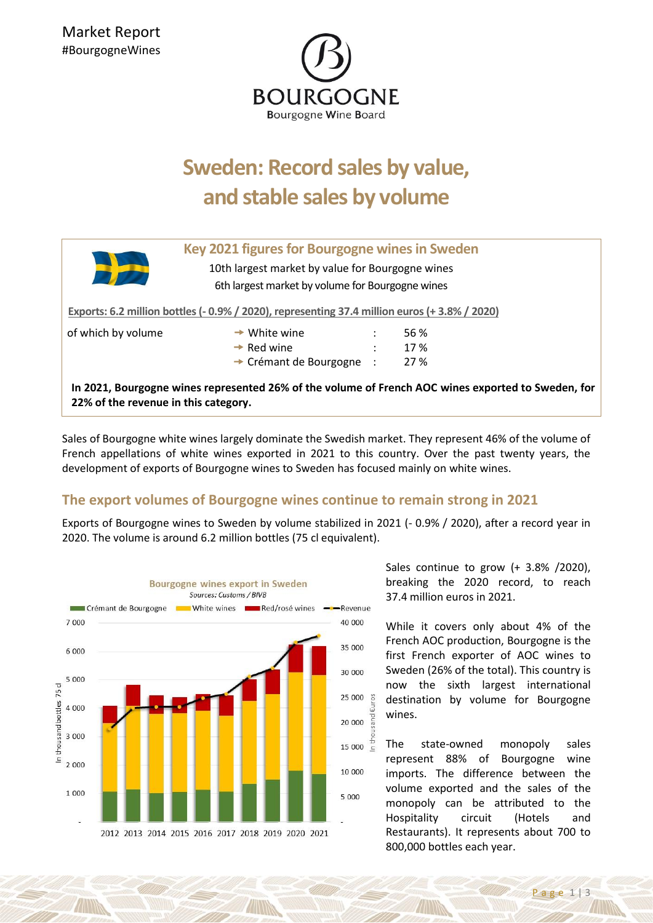

## **Sweden: Record sales by value, and stable sales by volume**

| Key 2021 figures for Bourgogne wines in Sweden<br>10th largest market by value for Bourgogne wines<br>6th largest market by volume for Bourgogne wines |                                      |                      |      |
|--------------------------------------------------------------------------------------------------------------------------------------------------------|--------------------------------------|----------------------|------|
| Exports: 6.2 million bottles (-0.9% / 2020), representing 37.4 million euros (+3.8% / 2020)                                                            |                                      |                      |      |
| of which by volume                                                                                                                                     | $\rightarrow$ White wine             |                      | 56 % |
|                                                                                                                                                        | $\rightarrow$ Red wine               | $\ddot{\phantom{a}}$ | 17 % |
|                                                                                                                                                        | $\rightarrow$ Crémant de Bourgogne : |                      | 27 % |
| In 2021, Bourgogne wines represented 26% of the volume of French AOC wines exported to Sweden, for<br>22% of the revenue in this category.             |                                      |                      |      |

Sales of Bourgogne white wines largely dominate the Swedish market. They represent 46% of the volume of French appellations of white wines exported in 2021 to this country. Over the past twenty years, the development of exports of Bourgogne wines to Sweden has focused mainly on white wines.

## **The export volumes of Bourgogne wines continue to remain strong in 2021**

Exports of Bourgogne wines to Sweden by volume stabilized in 2021 (- 0.9% / 2020), after a record year in 2020. The volume is around 6.2 million bottles (75 cl equivalent).



Sales continue to grow (+ 3.8% /2020), breaking the 2020 record, to reach 37.4 million euros in 2021.

While it covers only about 4% of the French AOC production, Bourgogne is the first French exporter of AOC wines to Sweden (26% of the total). This country is now the sixth largest international destination by volume for Bourgogne wines.

The state-owned monopoly sales represent 88% of Bourgogne wine imports. The difference between the volume exported and the sales of the monopoly can be attributed to the Hospitality circuit (Hotels and Restaurants). It represents about 700 to 800,000 bottles each year.

P a g e 1 | 3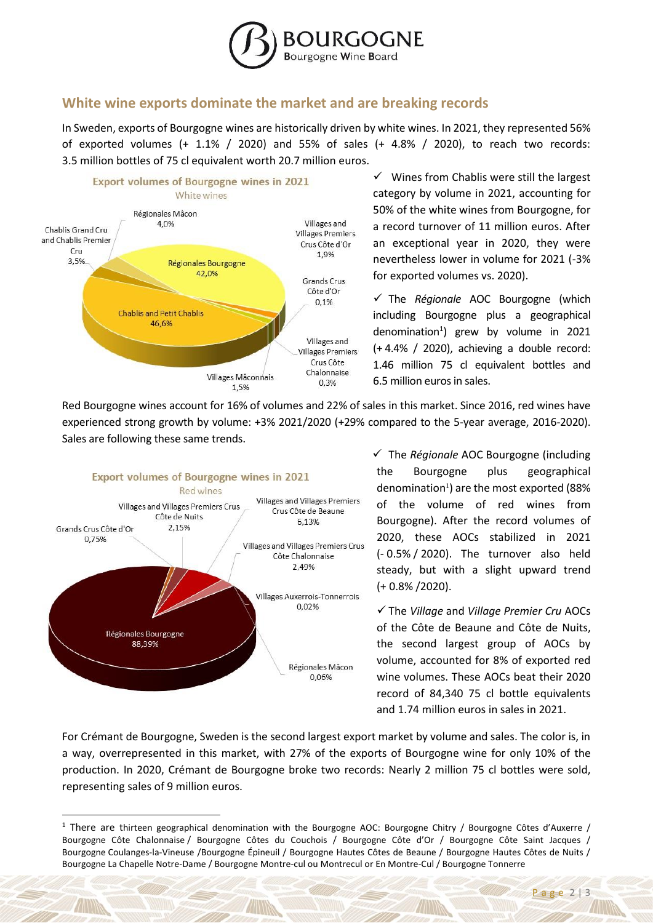

## **White wine exports dominate the market and are breaking records**

In Sweden, exports of Bourgogne wines are historically driven by white wines. In 2021, they represented 56% of exported volumes (+  $1.1\%$  /  $2020$ ) and 55% of sales (+  $4.8\%$  /  $2020$ ), to reach two records: 3.5 million bottles of 75 cl equivalent worth 20.7 million euros.



✓ Wines from Chablis were still the largest category by volume in 2021, accounting for 50% of the white wines from Bourgogne, for a record turnover of 11 million euros. After an exceptional year in 2020, they were nevertheless lower in volume for 2021 (-3% for exported volumes vs. 2020).

✓ The *Régionale* AOC Bourgogne (which including Bourgogne plus a geographical denomination<sup>1</sup>) grew by volume in 2021 (+ 4.4% / 2020), achieving a double record: 1.46 million 75 cl equivalent bottles and 6.5 million euros in sales.

Red Bourgogne wines account for 16% of volumes and 22% of sales in this market. Since 2016, red wines have experienced strong growth by volume: +3% 2021/2020 (+29% compared to the 5-year average, 2016-2020). Sales are following these same trends.



**.** 

✓ The *Régionale* AOC Bourgogne (including the Bourgogne plus geographical denomination<sup>1</sup>) are the most exported (88% of the volume of red wines from Bourgogne). After the record volumes of 2020, these AOCs stabilized in 2021 (- 0.5% / 2020). The turnover also held steady, but with a slight upward trend (+ 0.8% /2020).

✓ The *Village* and *Village Premier Cru* AOCs of the Côte de Beaune and Côte de Nuits, the second largest group of AOCs by volume, accounted for 8% of exported red wine volumes. These AOCs beat their 2020 record of 84,340 75 cl bottle equivalents and 1.74 million euros in sales in 2021.

For Crémant de Bourgogne, Sweden is the second largest export market by volume and sales. The color is, in a way, overrepresented in this market, with 27% of the exports of Bourgogne wine for only 10% of the production. In 2020, Crémant de Bourgogne broke two records: Nearly 2 million 75 cl bottles were sold, representing sales of 9 million euros.

<sup>&</sup>lt;sup>1</sup> There are thirteen geographical denomination with the Bourgogne AOC: Bourgogne Chitry / Bourgogne Côtes d'Auxerre / Bourgogne Côte Chalonnaise / Bourgogne Côtes du Couchois / Bourgogne Côte d'Or / Bourgogne Côte Saint Jacques / Bourgogne Coulanges-la-Vineuse /Bourgogne Épineuil / Bourgogne Hautes Côtes de Beaune / Bourgogne Hautes Côtes de Nuits / Bourgogne La Chapelle Notre-Dame / Bourgogne Montre-cul ou Montrecul or En Montre-Cul / Bourgogne Tonnerre